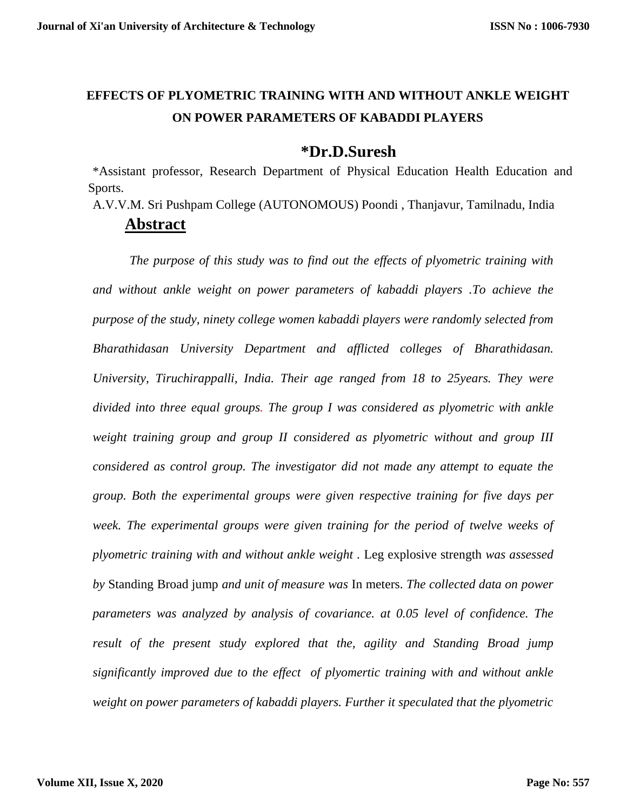# **EFFECTS OF PLYOMETRIC TRAINING WITH AND WITHOUT ANKLE WEIGHT ON POWER PARAMETERS OF KABADDI PLAYERS**

# **\*Dr.D.Suresh**

\*Assistant professor, Research Department of Physical Education Health Education and Sports.

A.V.V.M. Sri Pushpam College (AUTONOMOUS) Poondi , Thanjavur, Tamilnadu, India

# **Abstract**

*The purpose of this study was to find out the effects of plyometric training with and without ankle weight on power parameters of kabaddi players .To achieve the purpose of the study, ninety college women kabaddi players were randomly selected from Bharathidasan University Department and afflicted colleges of Bharathidasan. University, Tiruchirappalli, India. Their age ranged from 18 to 25years. They were divided into three equal groups. The group I was considered as plyometric with ankle weight training group and group II considered as plyometric without and group III considered as control group. The investigator did not made any attempt to equate the group. Both the experimental groups were given respective training for five days per week. The experimental groups were given training for the period of twelve weeks of plyometric training with and without ankle weight .* Leg explosive strength *was assessed by* Standing Broad jump *and unit of measure was* In meters. *The collected data on power parameters was analyzed by analysis of covariance. at 0.05 level of confidence. The result of the present study explored that the, agility and Standing Broad jump significantly improved due to the effect of plyomertic training with and without ankle weight on power parameters of kabaddi players. Further it speculated that the plyometric*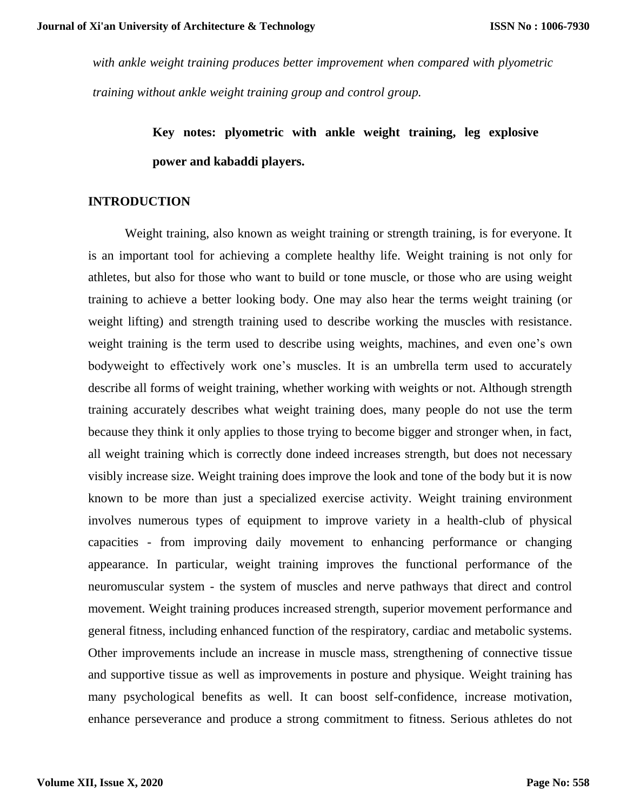*with ankle weight training produces better improvement when compared with plyometric training without ankle weight training group and control group.*

> **Key notes: plyometric with ankle weight training, leg explosive power and kabaddi players.**

#### **INTRODUCTION**

Weight training, also known as weight training or strength training, is for everyone. It is an important tool for achieving a complete healthy life. Weight training is not only for athletes, but also for those who want to build or tone muscle, or those who are using weight training to achieve a better looking body. One may also hear the terms weight training (or weight lifting) and strength training used to describe working the muscles with resistance. weight training is the term used to describe using weights, machines, and even one's own bodyweight to effectively work one's muscles. It is an umbrella term used to accurately describe all forms of weight training, whether working with weights or not. Although strength training accurately describes what weight training does, many people do not use the term because they think it only applies to those trying to become bigger and stronger when, in fact, all weight training which is correctly done indeed increases strength, but does not necessary visibly increase size. Weight training does improve the look and tone of the body but it is now known to be more than just a specialized exercise activity. Weight training environment involves numerous types of equipment to improve variety in a health-club of physical capacities - from improving daily movement to enhancing performance or changing appearance. In particular, weight training improves the functional performance of the neuromuscular system - the system of muscles and nerve pathways that direct and control movement. Weight training produces increased strength, superior movement performance and general fitness, including enhanced function of the respiratory, cardiac and metabolic systems. Other improvements include an increase in muscle mass, strengthening of connective tissue and supportive tissue as well as improvements in posture and physique. Weight training has many psychological benefits as well. It can boost self-confidence, increase motivation, enhance perseverance and produce a strong commitment to fitness. Serious athletes do not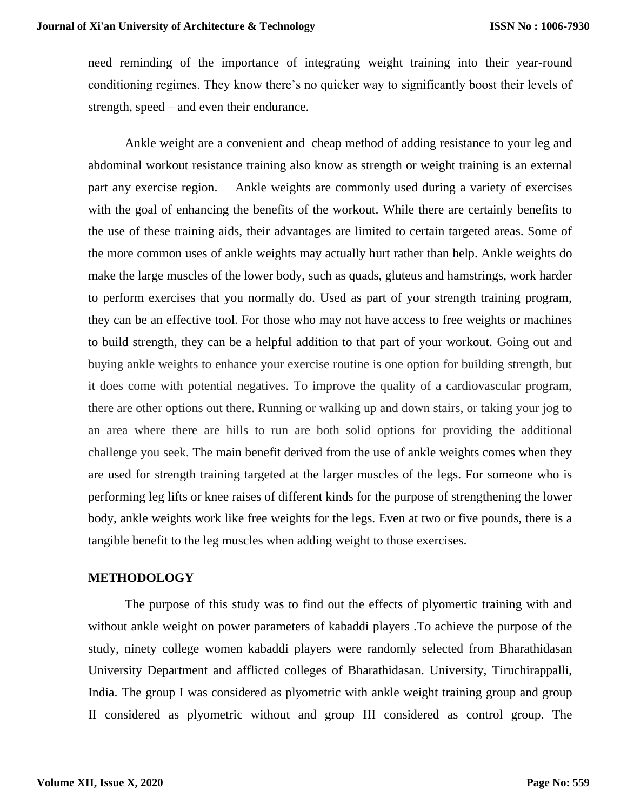need reminding of the importance of integrating weight training into their year-round conditioning regimes. They know there's no quicker way to significantly boost their levels of strength, speed – and even their endurance.

Ankle weight are a convenient and cheap method of adding resistance to your leg and abdominal workout resistance training also know as strength or weight training is an external part any exercise region. Ankle weights are commonly used during a variety of exercises with the goal of enhancing the benefits of the workout. While there are certainly benefits to the use of these training aids, their advantages are limited to certain targeted areas. Some of the more common uses of ankle weights may actually hurt rather than help. Ankle weights do make the large muscles of the lower body, such as quads, gluteus and hamstrings, work harder to perform exercises that you normally do. Used as part of your strength training program, they can be an effective tool. For those who may not have access to free weights or machines to build strength, they can be a helpful addition to that part of your workout. Going out and buying ankle weights to enhance your exercise routine is one option for building strength, but it does come with potential negatives. To improve the quality of a cardiovascular program, there are other options out there. Running or walking up and down stairs, or taking your jog to an area where there are hills to run are both solid options for providing the additional challenge you seek. The main benefit derived from the use of ankle weights comes when they are used for strength training targeted at the larger muscles of the legs. For someone who is performing leg lifts or knee raises of different kinds for the purpose of strengthening the lower body, ankle weights work like free weights for the legs. Even at two or five pounds, there is a tangible benefit to the leg muscles when adding weight to those exercises.

#### **METHODOLOGY**

The purpose of this study was to find out the effects of plyomertic training with and without ankle weight on power parameters of kabaddi players .To achieve the purpose of the study, ninety college women kabaddi players were randomly selected from Bharathidasan University Department and afflicted colleges of Bharathidasan. University, Tiruchirappalli, India. The group I was considered as plyometric with ankle weight training group and group II considered as plyometric without and group III considered as control group. The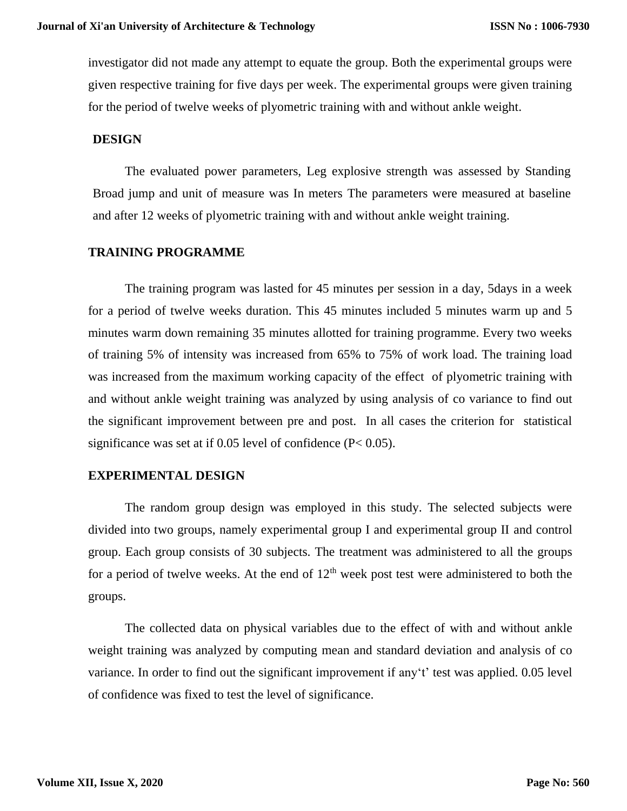investigator did not made any attempt to equate the group. Both the experimental groups were given respective training for five days per week. The experimental groups were given training for the period of twelve weeks of plyometric training with and without ankle weight.

#### **DESIGN**

The evaluated power parameters, Leg explosive strength was assessed by Standing Broad jump and unit of measure was In meters The parameters were measured at baseline and after 12 weeks of plyometric training with and without ankle weight training.

### **TRAINING PROGRAMME**

The training program was lasted for 45 minutes per session in a day, 5days in a week for a period of twelve weeks duration. This 45 minutes included 5 minutes warm up and 5 minutes warm down remaining 35 minutes allotted for training programme. Every two weeks of training 5% of intensity was increased from 65% to 75% of work load. The training load was increased from the maximum working capacity of the effect of plyometric training with and without ankle weight training was analyzed by using analysis of co variance to find out the significant improvement between pre and post. In all cases the criterion for statistical significance was set at if 0.05 level of confidence (P< 0.05).

#### **EXPERIMENTAL DESIGN**

The random group design was employed in this study. The selected subjects were divided into two groups, namely experimental group I and experimental group II and control group. Each group consists of 30 subjects. The treatment was administered to all the groups for a period of twelve weeks. At the end of  $12<sup>th</sup>$  week post test were administered to both the groups.

The collected data on physical variables due to the effect of with and without ankle weight training was analyzed by computing mean and standard deviation and analysis of co variance. In order to find out the significant improvement if any't' test was applied. 0.05 level of confidence was fixed to test the level of significance.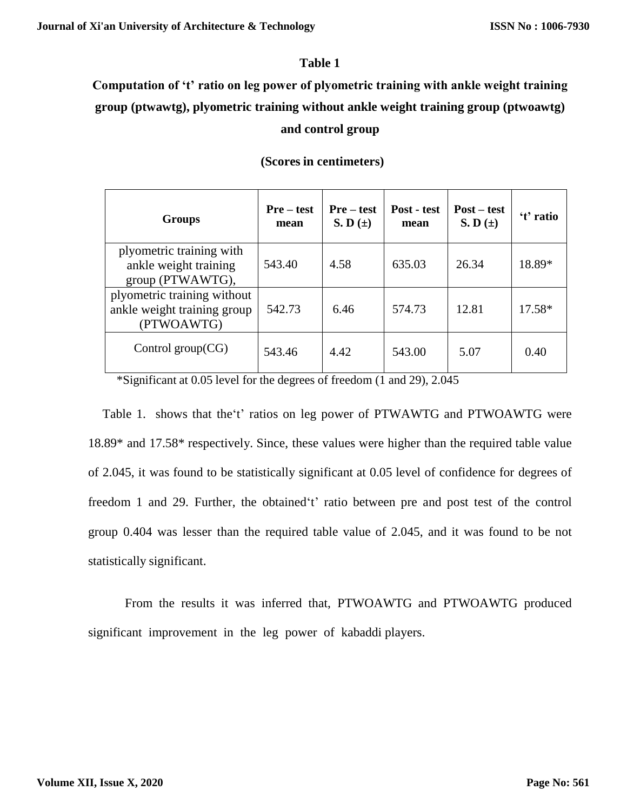### **Table 1**

# **Computation of 't' ratio on leg power of plyometric training with ankle weight training group (ptwawtg), plyometric training without ankle weight training group (ptwoawtg) and control group**

#### **(Scores in centimeters)**

| <b>Groups</b>                                                            | Pre – test<br>mean | <b>Pre</b> – test<br>S. D $(\pm)$ | Post - test<br>mean | $Post - test$<br>$S. D(\pm)$ | 't' ratio |
|--------------------------------------------------------------------------|--------------------|-----------------------------------|---------------------|------------------------------|-----------|
| plyometric training with<br>ankle weight training<br>group (PTWAWTG),    | 543.40             | 4.58                              | 635.03              | 26.34                        | 18.89*    |
| plyometric training without<br>ankle weight training group<br>(PTWOAWTG) | 542.73             | 6.46                              | 574.73              | 12.81                        | 17.58*    |
| Control group $(CG)$                                                     | 543.46             | 4.42                              | 543.00              | 5.07                         | 0.40      |

\*Significant at 0.05 level for the degrees of freedom (1 and 29), 2.045

Table 1. shows that the't' ratios on leg power of PTWAWTG and PTWOAWTG were 18.89\* and 17.58\* respectively. Since, these values were higher than the required table value of 2.045, it was found to be statistically significant at 0.05 level of confidence for degrees of freedom 1 and 29. Further, the obtained't' ratio between pre and post test of the control group 0.404 was lesser than the required table value of 2.045, and it was found to be not statistically significant.

From the results it was inferred that, PTWOAWTG and PTWOAWTG produced significant improvement in the leg power of kabaddi players.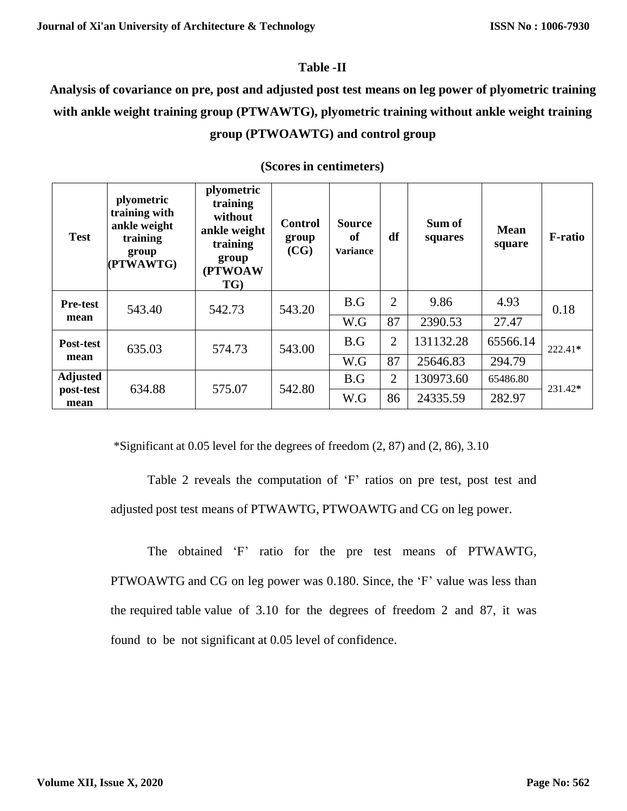### **Table -II**

**Analysis of covariance on pre, post and adjusted post test means on leg power of plyometric training with ankle weight training group (PTWAWTG), plyometric training without ankle weight training group (PTWOAWTG) and control group**

| <b>Test</b>       | plyometric<br>training with<br>ankle weight<br>training<br>group<br>(PTWAWTG) | plyometric<br>training<br>without<br>ankle weight<br>training<br>group<br>(PTWOAW<br>TG) | Control<br>group<br>(CG) | <b>Source</b><br>of<br><b>variance</b> | df             | Sum of<br>squares | <b>Mean</b><br>square | <b>F</b> -ratio |  |
|-------------------|-------------------------------------------------------------------------------|------------------------------------------------------------------------------------------|--------------------------|----------------------------------------|----------------|-------------------|-----------------------|-----------------|--|
| <b>Pre-test</b>   | 543.40<br>542.73                                                              |                                                                                          | 543.20                   | B.G                                    | 2              | 9.86              | 4.93                  | 0.18            |  |
| mean              |                                                                               |                                                                                          |                          | W.G                                    | 87             | 2390.53           | 27.47                 |                 |  |
| Post-test         | 635.03                                                                        | 574.73                                                                                   | 543.00                   | B.G                                    | $\overline{2}$ | 131132.28         | 65566.14              | $222.41*$       |  |
| mean              |                                                                               |                                                                                          |                          | W.G                                    | 87             | 25646.83          | 294.79                |                 |  |
| <b>Adjusted</b>   | 634.88                                                                        | 575.07                                                                                   | 542.80                   | B.G                                    | $\overline{2}$ | 130973.60         | 65486.80              | 231.42*         |  |
| post-test<br>mean |                                                                               |                                                                                          |                          | W.G                                    | 86             | 24335.59          | 282.97                |                 |  |

## **(Scores in centimeters)**

\*Significant at  $0.05$  level for the degrees of freedom  $(2, 87)$  and  $(2, 86)$ ,  $3.10$ 

Table 2 reveals the computation of 'F' ratios on pre test, post test and adjusted post test means of PTWAWTG, PTWOAWTG and CG on leg power.

The obtained 'F' ratio for the pre test means of PTWAWTG, PTWOAWTG and CG on leg power was 0.180. Since, the 'F' value was less than the required table value of 3.10 for the degrees of freedom 2 and 87, it was found to be not significant at 0.05 level of confidence.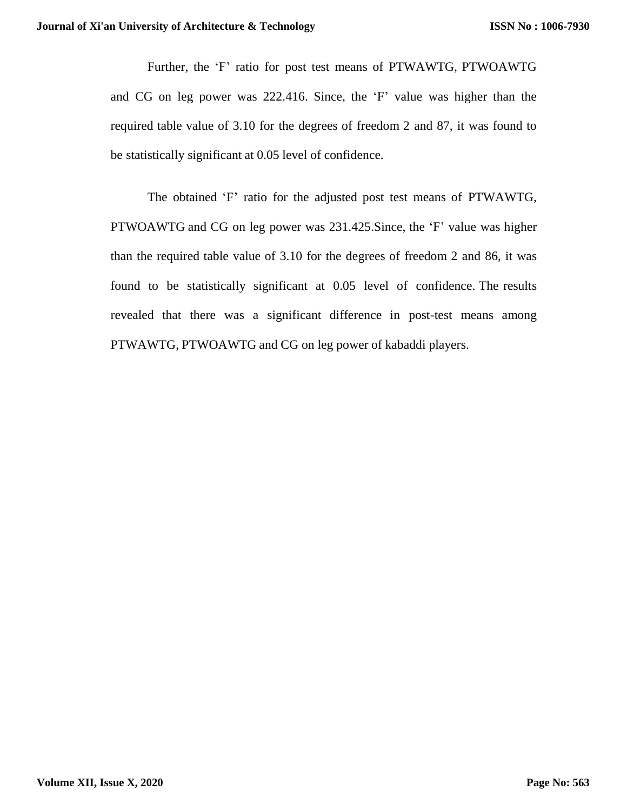Further, the 'F' ratio for post test means of PTWAWTG, PTWOAWTG and CG on leg power was 222.416. Since, the 'F' value was higher than the required table value of 3.10 for the degrees of freedom 2 and 87, it was found to be statistically significant at 0.05 level of confidence.

The obtained 'F' ratio for the adjusted post test means of PTWAWTG, PTWOAWTG and CG on leg power was 231.425.Since, the 'F' value was higher than the required table value of 3.10 for the degrees of freedom 2 and 86, it was found to be statistically significant at 0.05 level of confidence. The results revealed that there was a significant difference in post-test means among PTWAWTG, PTWOAWTG and CG on leg power of kabaddi players.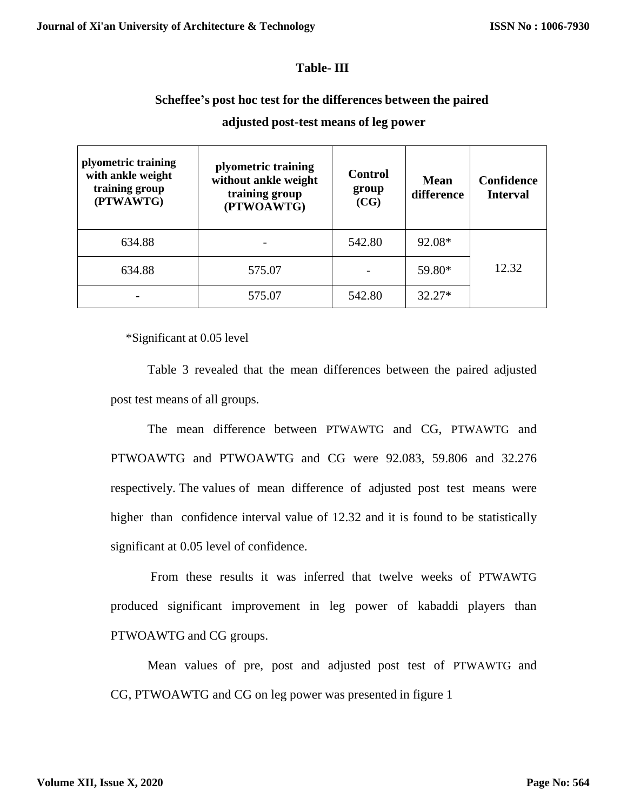#### **Table- III**

### **Scheffee's post hoc test for the differences between the paired**

| plyometric training<br>with ankle weight<br>training group<br>(PTWAWTG) | plyometric training<br>without ankle weight<br>training group<br>(PTWOAWTG) | <b>Control</b><br>group<br>(CG) | Mean<br>difference | Confidence<br><b>Interval</b> |  |
|-------------------------------------------------------------------------|-----------------------------------------------------------------------------|---------------------------------|--------------------|-------------------------------|--|
| 634.88                                                                  |                                                                             | 542.80                          | 92.08*             |                               |  |
| 634.88                                                                  | 575.07                                                                      |                                 | 59.80*             | 12.32                         |  |
|                                                                         | 575.07                                                                      | 542.80                          | $32.27*$           |                               |  |

### **adjusted post-test means of leg power**

\*Significant at 0.05 level

Table 3 revealed that the mean differences between the paired adjusted post test means of all groups.

The mean difference between PTWAWTG and CG, PTWAWTG and PTWOAWTG and PTWOAWTG and CG were 92.083, 59.806 and 32.276 respectively. The values of mean difference of adjusted post test means were higher than confidence interval value of 12.32 and it is found to be statistically significant at 0.05 level of confidence.

From these results it was inferred that twelve weeks of PTWAWTG produced significant improvement in leg power of kabaddi players than PTWOAWTG and CG groups.

Mean values of pre, post and adjusted post test of PTWAWTG and CG, PTWOAWTG and CG on leg power was presented in figure 1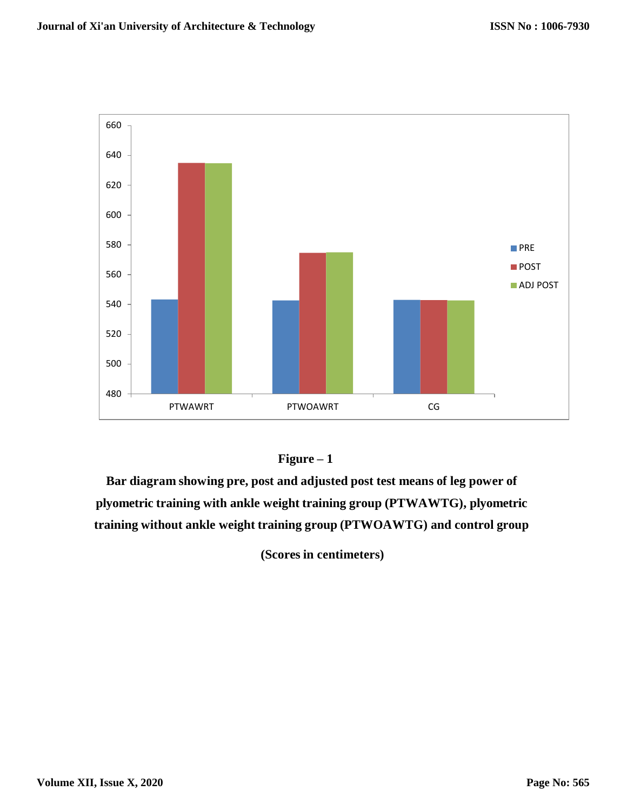



**Bar diagram showing pre, post and adjusted post test means of leg power of plyometric training with ankle weight training group (PTWAWTG), plyometric training without ankle weight training group (PTWOAWTG) and control group**

**(Scores in centimeters)**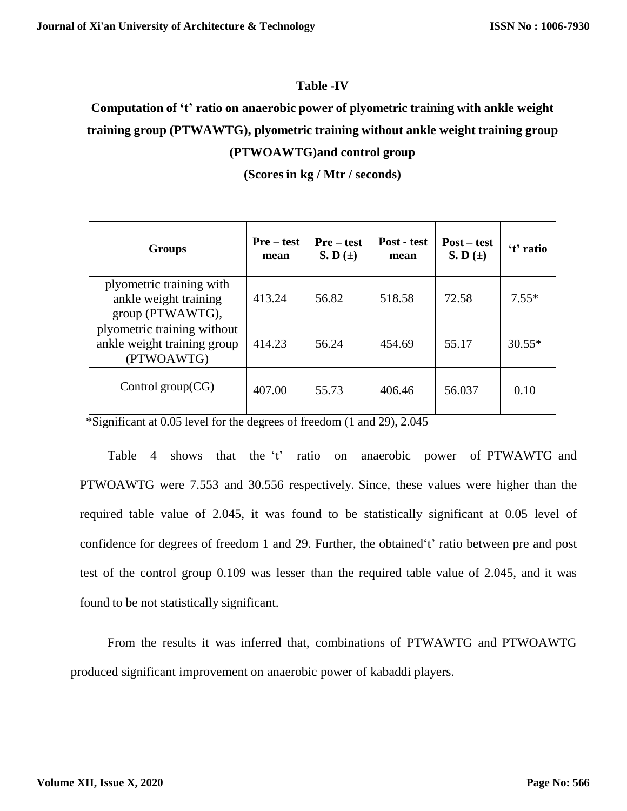#### **Table -IV**

# **Computation of 't' ratio on anaerobic power of plyometric training with ankle weight training group (PTWAWTG), plyometric training without ankle weight training group (PTWOAWTG)and control group**

**(Scores in kg / Mtr / seconds)**

| <b>Groups</b>                                                            | Pre – test<br>mean | <b>Pre</b> – test<br>$S. D (\pm)$ | Post - test<br>mean | $Post - test$<br>$S. D(\pm)$ | 't' ratio |
|--------------------------------------------------------------------------|--------------------|-----------------------------------|---------------------|------------------------------|-----------|
| plyometric training with<br>ankle weight training<br>group (PTWAWTG),    | 413.24             | 56.82                             | 518.58              | 72.58                        | $7.55*$   |
| plyometric training without<br>ankle weight training group<br>(PTWOAWTG) | 414.23             | 56.24                             | 454.69              | 55.17                        | $30.55*$  |
| Control group $(CG)$                                                     | 407.00             | 55.73                             | 406.46              | 56.037                       | 0.10      |

\*Significant at 0.05 level for the degrees of freedom (1 and 29), 2.045

Table 4 shows that the 't' ratio on anaerobic power of PTWAWTG and PTWOAWTG were 7.553 and 30.556 respectively. Since, these values were higher than the required table value of 2.045, it was found to be statistically significant at 0.05 level of confidence for degrees of freedom 1 and 29. Further, the obtained't' ratio between pre and post test of the control group 0.109 was lesser than the required table value of 2.045, and it was found to be not statistically significant.

From the results it was inferred that, combinations of PTWAWTG and PTWOAWTG produced significant improvement on anaerobic power of kabaddi players.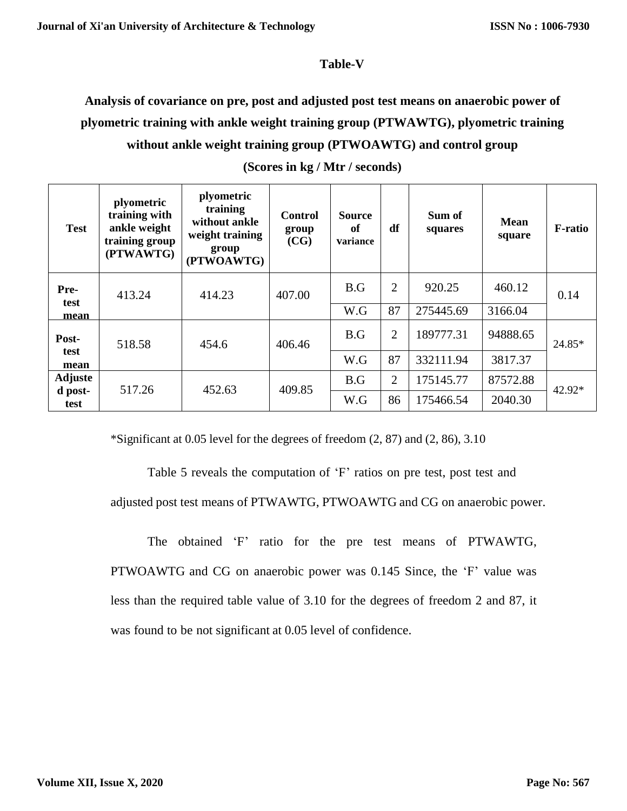#### **Table-V**

# **Analysis of covariance on pre, post and adjusted post test means on anaerobic power of plyometric training with ankle weight training group (PTWAWTG), plyometric training without ankle weight training group (PTWOAWTG) and control group**

| <b>Test</b>     | plyometric<br>training with<br>ankle weight<br>training group<br>(PTWAWTG) | plyometric<br>training<br>without ankle<br>weight training<br>group<br>(PTWOAWTG) | Control<br>group<br>(CG) | <b>Source</b><br>of<br>variance | df             | Sum of<br>squares | <b>Mean</b><br>square | <b>F-ratio</b> |  |
|-----------------|----------------------------------------------------------------------------|-----------------------------------------------------------------------------------|--------------------------|---------------------------------|----------------|-------------------|-----------------------|----------------|--|
| Pre-<br>test    | 413.24                                                                     | 414.23                                                                            |                          | B.G                             | $\overline{2}$ | 920.25            | 460.12                | 0.14           |  |
| mean            |                                                                            |                                                                                   |                          | W.G                             | 87             | 275445.69         | 3166.04               |                |  |
| Post-           | 518.58                                                                     | 454.6                                                                             | 406.46                   | B.G                             | $\overline{2}$ | 189777.31         | 94888.65              | 24.85*         |  |
| test<br>mean    |                                                                            |                                                                                   |                          | W.G                             | 87             | 332111.94         | 3817.37               |                |  |
| <b>Adjuste</b>  |                                                                            |                                                                                   |                          | B.G                             | $\overline{2}$ | 175145.77         | 87572.88              |                |  |
| d post-<br>test | 517.26                                                                     | 452.63                                                                            | 409.85                   | W.G                             | 86             | 175466.54         | 2040.30               | $42.92*$       |  |

**(Scores in kg / Mtr / seconds)**

\*Significant at 0.05 level for the degrees of freedom (2, 87) and (2, 86), 3.10

Table 5 reveals the computation of 'F' ratios on pre test, post test and adjusted post test means of PTWAWTG, PTWOAWTG and CG on anaerobic power.

The obtained 'F' ratio for the pre test means of PTWAWTG, PTWOAWTG and CG on anaerobic power was 0.145 Since, the 'F' value was less than the required table value of 3.10 for the degrees of freedom 2 and 87, it was found to be not significant at 0.05 level of confidence.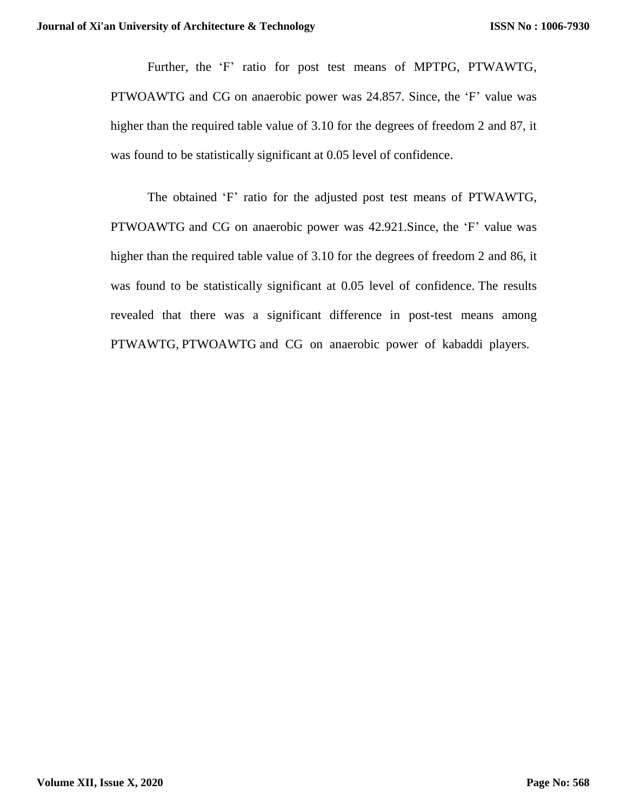Further, the 'F' ratio for post test means of MPTPG, PTWAWTG, PTWOAWTG and CG on anaerobic power was 24.857. Since, the 'F' value was higher than the required table value of 3.10 for the degrees of freedom 2 and 87, it was found to be statistically significant at 0.05 level of confidence.

The obtained 'F' ratio for the adjusted post test means of PTWAWTG, PTWOAWTG and CG on anaerobic power was 42.921.Since, the 'F' value was higher than the required table value of 3.10 for the degrees of freedom 2 and 86, it was found to be statistically significant at 0.05 level of confidence. The results revealed that there was a significant difference in post-test means among PTWAWTG, PTWOAWTG and CG on anaerobic power of kabaddi players.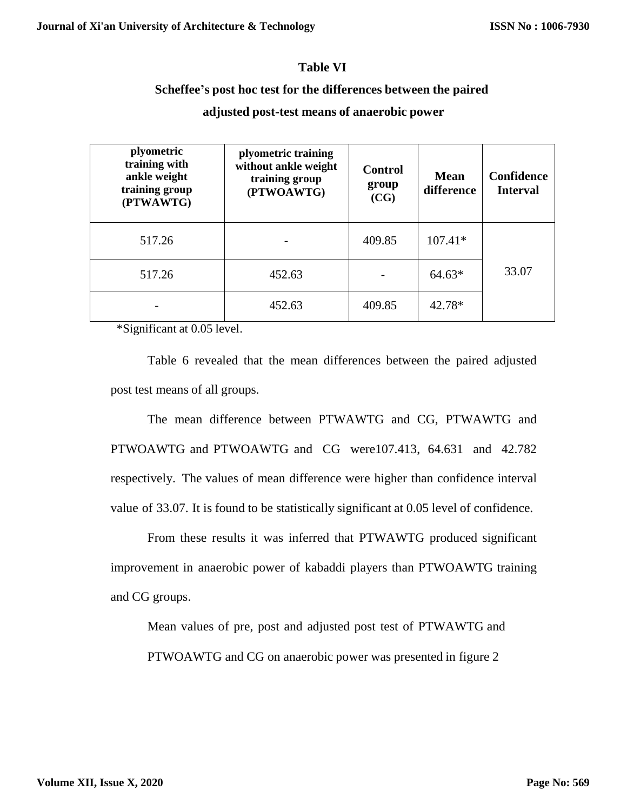### **Table VI**

#### **Scheffee's post hoc test for the differences between the paired**

| plyometric<br>training with<br>ankle weight<br>training group<br>(PTWAWTG) | plyometric training<br>without ankle weight<br>training group<br>(PTWOAWTG) | <b>Control</b><br>group<br>(CG) | <b>Mean</b><br>difference | Confidence<br><b>Interval</b> |
|----------------------------------------------------------------------------|-----------------------------------------------------------------------------|---------------------------------|---------------------------|-------------------------------|
| 517.26                                                                     |                                                                             | 409.85                          | $107.41*$                 |                               |
| 517.26                                                                     | 452.63                                                                      |                                 | $64.63*$                  | 33.07                         |
|                                                                            | 452.63                                                                      | 409.85                          | 42.78*                    |                               |

## **adjusted post-test means of anaerobic power**

\*Significant at 0.05 level.

Table 6 revealed that the mean differences between the paired adjusted post test means of all groups.

The mean difference between PTWAWTG and CG, PTWAWTG and PTWOAWTG and PTWOAWTG and CG were107.413, 64.631 and 42.782 respectively. The values of mean difference were higher than confidence interval value of 33.07. It is found to be statistically significant at 0.05 level of confidence.

From these results it was inferred that PTWAWTG produced significant improvement in anaerobic power of kabaddi players than PTWOAWTG training and CG groups.

Mean values of pre, post and adjusted post test of PTWAWTG and PTWOAWTG and CG on anaerobic power was presented in figure 2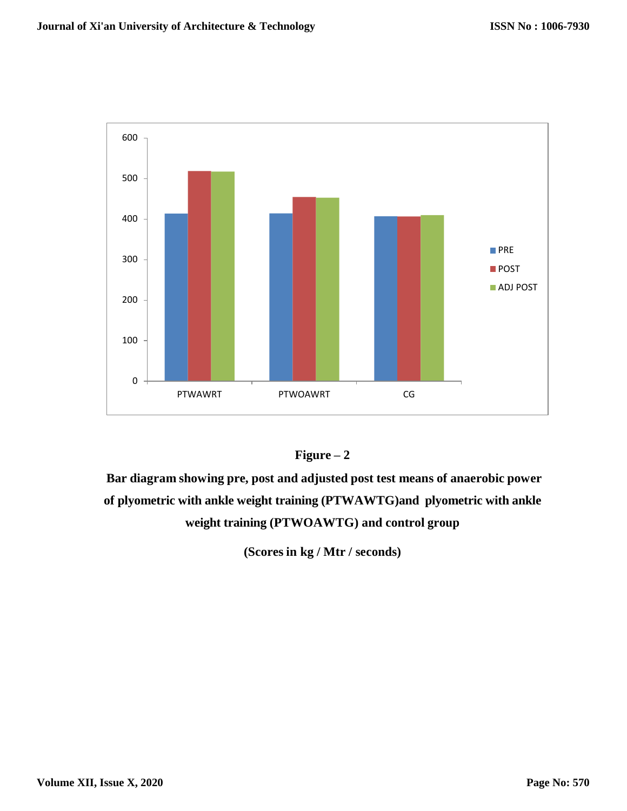



**Bar diagram showing pre, post and adjusted post test means of anaerobic power of plyometric with ankle weight training (PTWAWTG)and plyometric with ankle weight training (PTWOAWTG) and control group**

**(Scores in kg / Mtr / seconds)**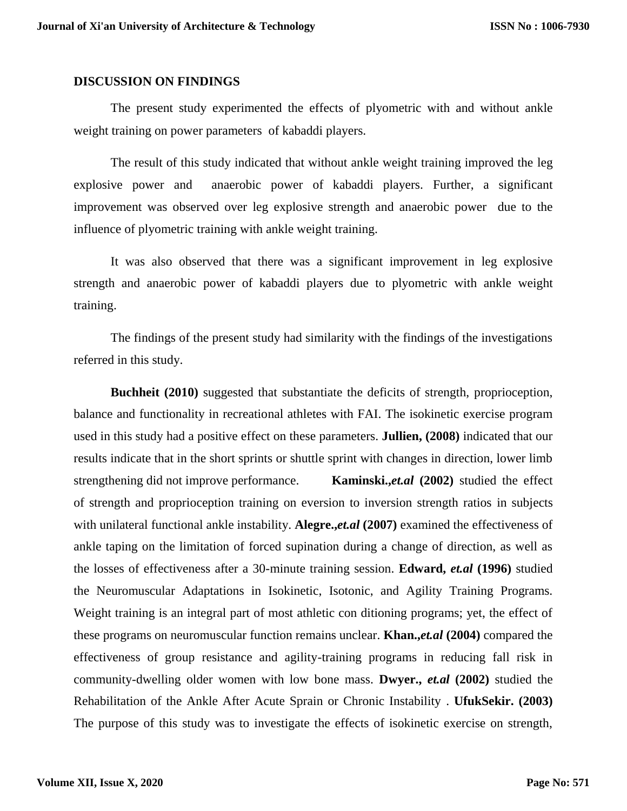#### **DISCUSSION ON FINDINGS**

The present study experimented the effects of plyometric with and without ankle weight training on power parameters of kabaddi players.

The result of this study indicated that without ankle weight training improved the leg explosive power and anaerobic power of kabaddi players. Further, a significant improvement was observed over leg explosive strength and anaerobic power due to the influence of plyometric training with ankle weight training.

It was also observed that there was a significant improvement in leg explosive strength and anaerobic power of kabaddi players due to plyometric with ankle weight training.

The findings of the present study had similarity with the findings of the investigations referred in this study.

**Buchheit (2010)** suggested that substantiate the deficits of strength, proprioception, balance and functionality in recreational athletes with FAI. The isokinetic exercise program used in this study had a positive effect on these parameters. **Jullien, (2008)** indicated that our results indicate that in the short sprints or shuttle sprint with changes in direction, lower limb strengthening did not improve performance. **[Kaminski.](http://bjsm.bmj.com/search?author1=T+W+Kaminski&sortspec=date&submit=Submit),***et.al* **(2002)** studied the effect of strength and proprioception training on eversion to inversion strength ratios in subjects with unilateral functional ankle instability. **Alegre.,***et.al* **(2007)** examined the effectiveness of ankle taping on the limitation of forced supination during a change of direction, as well as the losses of effectiveness after a 30-minute training session. **[Edward,](http://ajs.sagepub.com/search?author1=Edward+M.+Wojtys&sortspec=date&submit=Submit)** *et.al* **(1996)** studied the Neuromuscular Adaptations in Isokinetic, Isotonic, and Agility Training Programs. Weight training is an integral part of most athletic con ditioning programs; yet, the effect of these programs on neuromuscular function remains unclear. **Khan.,***et.al* **(2004)** compared the effectiveness of group resistance and agility-training programs in reducing fall risk in community-dwelling older women with low bone mass. **Dwyer.,** *et.al* **(2002)** studied the Rehabilitation of the Ankle After Acute Sprain or Chronic Instability . **[UfukSekir.](http://www.springerlink.com/content/?Author=Ufuk+Sekir) (2003)** The purpose of this study was to investigate the effects of isokinetic exercise on strength,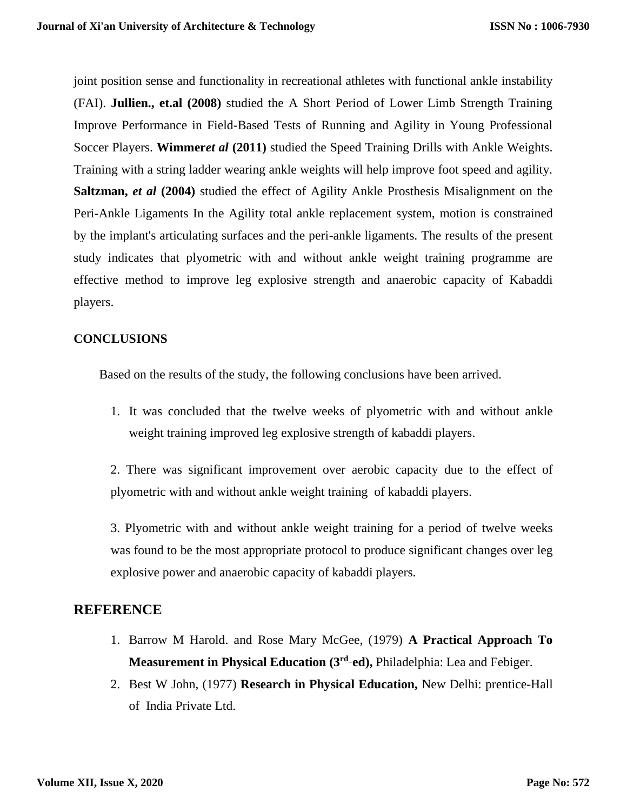joint position sense and functionality in recreational athletes with functional ankle instability (FAI). **Jullien., et.al (2008)** studied the A Short Period of Lower Limb Strength Training Improve Performance in Field-Based Tests of Running and Agility in Young Professional Soccer Players. **Wimmer***et al* **(2011)** studied the Speed Training Drills with Ankle Weights. Training with a string ladder wearing ankle weights will help improve foot speed and agility. **Saltzman,** *et al* **(2004)** studied the effect of Agility Ankle Prosthesis Misalignment on the Peri-Ankle Ligaments In the Agility total ankle replacement system, motion is constrained by the implant's articulating surfaces and the peri-ankle ligaments. The results of the present study indicates that plyometric with and without ankle weight training programme are effective method to improve leg explosive strength and anaerobic capacity of Kabaddi players.

## **CONCLUSIONS**

Based on the results of the study, the following conclusions have been arrived.

1. It was concluded that the twelve weeks of plyometric with and without ankle weight training improved leg explosive strength of kabaddi players.

2. There was significant improvement over aerobic capacity due to the effect of plyometric with and without ankle weight training of kabaddi players.

3. Plyometric with and without ankle weight training for a period of twelve weeks was found to be the most appropriate protocol to produce significant changes over leg explosive power and anaerobic capacity of kabaddi players.

# **REFERENCE**

- 1. Barrow M Harold. and Rose Mary McGee, (1979) **A Practical Approach To Measurement in Physical Education (3rd\_ed),** Philadelphia: Lea and Febiger.
- 2. Best W John, (1977) **Research in Physical Education,** New Delhi: prentice-Hall of India Private Ltd.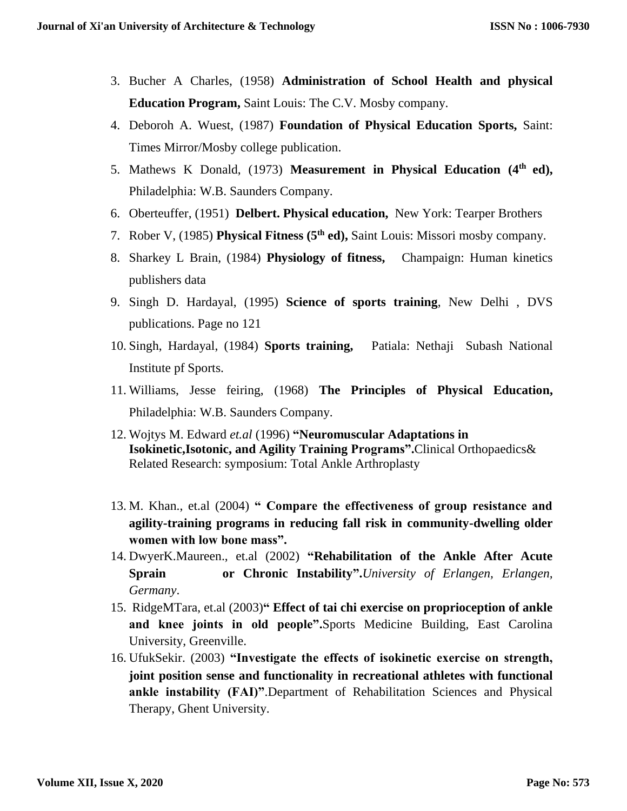- 3. Bucher A Charles, (1958) **Administration of School Health and physical Education Program,** Saint Louis: The C.V. Mosby company.
- 4. Deboroh A. Wuest, (1987) **Foundation of Physical Education Sports,** Saint: Times Mirror/Mosby college publication.
- 5. Mathews K Donald, (1973) **Measurement in Physical Education (4th ed),**  Philadelphia: W.B. Saunders Company.
- 6. Oberteuffer, (1951) **Delbert. Physical education,** New York: Tearper Brothers
- 7. Rober V, (1985) **Physical Fitness (5th ed),** Saint Louis: Missori mosby company.
- 8. Sharkey L Brain, (1984) **Physiology of fitness,** Champaign: Human kinetics publishers data
- 9. Singh D. Hardayal, (1995) **Science of sports training**, New Delhi , DVS publications. Page no 121
- 10. Singh, Hardayal, (1984) **Sports training,** Patiala: Nethaji Subash National Institute pf Sports.
- 11. Williams, Jesse feiring, (1968) **The Principles of Physical Education,** Philadelphia: W.B. Saunders Company.
- 12. Wojtys [M.](http://ajs.sagepub.com/search?author1=Edward+M.+Wojtys&sortspec=date&submit=Submit) Edward *et.al* (1996) **"Neuromuscular Adaptations in Isokinetic,Isotonic, and Agility Training Programs".**Clinical Orthopaedics& Related Research: symposium: Total Ankle Arthroplasty
- 13. M. Khan., et.al (2004) **" Compare the effectiveness of group resistance and agility-training programs in reducing fall risk in community-dwelling older women with low bone mass".**
- 14. DwyerK.Maureen., et.al (2002) **"Rehabilitation of the Ankle After Acute Sprain or Chronic Instability".***University of Erlangen, Erlangen, Germany*.
- 15. [RidgeM](http://physther.net/search?author1=Tara+M+Ridge&sortspec=date&submit=Submit)Tara, et.al (2003)**" Effect of tai chi exercise on proprioception of ankle and knee joints in old people".**Sports Medicine Building, East Carolina University, Greenville.
- 16. [UfukSekir.](http://www.springerlink.com/content/?Author=Ufuk+Sekir) (2003) **"Investigate the effects of isokinetic exercise on strength, joint position sense and functionality in recreational athletes with functional ankle instability (FAI)"**.Department of Rehabilitation Sciences and Physical Therapy, Ghent University.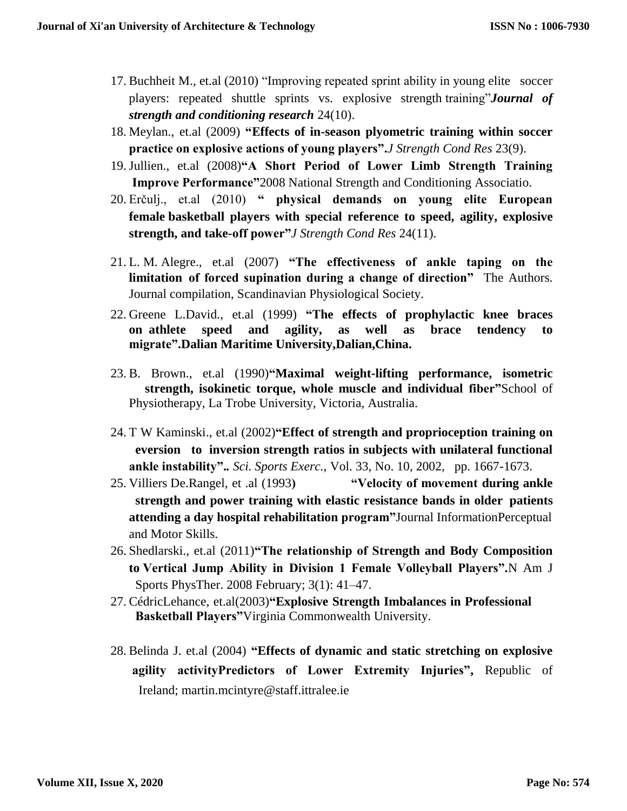- 17. Buchheit M., et.al (2010) "Improving repeated sprint ability in young elite soccer players: repeated shuttle sprints vs. explosive strength training"*Journal of strength and conditioning research* 24(10).
- 18. Meylan., et.al (2009) **"Effects of in-season plyometric training within soccer practice on explosive actions of young players".***J Strength Cond Res* 23(9).
- 19.Jullien., et.al (2008)**"A Short Period of Lower Limb Strength Training Improve Performance"**2008 National Strength and Conditioning Associatio.
- 20. Erčulj., et.al (2010) **" physical demands on young elite European female basketball players with special reference to speed, agility, explosive strength, and take-off power"***J Strength Cond Res* 24(11).
- 21. L. M. Alegre., et.al (2007) **"The effectiveness of ankle taping on the limitation of forced supination during a change of direction"** The Authors. Journal compilation, Scandinavian Physiological Society.
- 22. [Greene L.David.](http://ajs.sagepub.com/search?author1=David+L.+Greene&sortspec=date&submit=Submit), et.al (1999) **"The effects of prophylactic knee braces on athlete speed and agility, as well as brace tendency to migrate".Dalian Maritime University,Dalian,China.**
- 23. [B. Brown.](http://jap.physiology.org/search?author1=A.+B.+Brown&sortspec=date&submit=Submit), et.al (1990)**"Maximal weight-lifting performance, isometric strength, isokinetic torque, whole muscle and individual fiber"**School of Physiotherapy, La Trobe University, Victoria, Australia.
- 24. [T W Kaminski.](http://bjsm.bmj.com/search?author1=T+W+Kaminski&sortspec=date&submit=Submit), et.al (2002)**"Effect of strength and proprioception training on eversion to inversion strength ratios in subjects with unilateral functional ankle instability".***. Sci. Sports Exerc.*, Vol. 33, No. 10, 2002, pp. 1667-1673.
- 25. Villiers De.Rangel, et .al (1993**) "Velocity of movement during ankle strength and power training with elastic resistance bands in older patients attending a day hospital rehabilitation program"**Journal InformationPerceptual and Motor Skills.
- 26. Shedlarski., et.al (2011)**"The relationship of Strength and Body Composition to Vertical Jump Ability in Division 1 Female Volleyball Players".**N Am J Sports PhysTher. 2008 February; 3(1): 41–47.
- 27. CédricLehance, et.al(2003)**"Explosive Strength Imbalances in Professional Basketball Players"**Virginia Commonwealth University.
- 28. Belinda J. et.al (2004) **"Effects of dynamic and static stretching on explosive agility activityPredictors of Lower Extremity Injuries",** Republic of Ireland; [martin.mcintyre@staff.ittralee.ie](mailto:martin.mcintyrestaff.ittralee.ie)